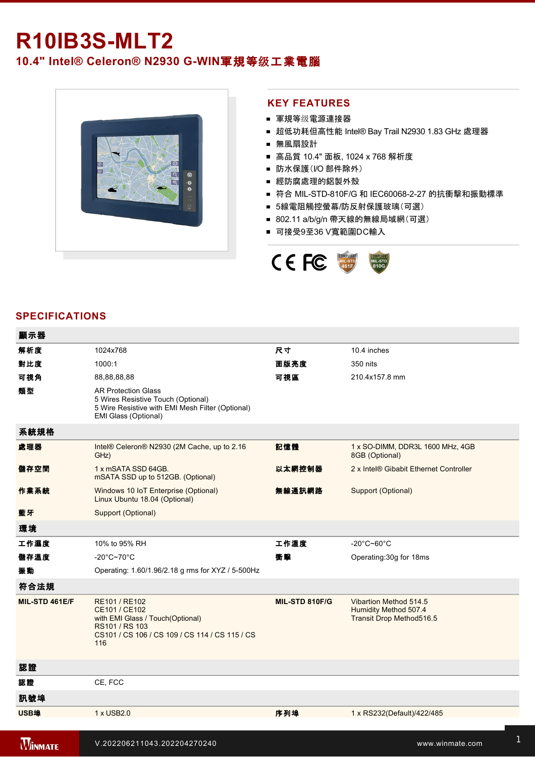# **R10IB3S-MLT2**

## 10.4" Intel® Celeron® N2930 G-WIN軍規等级工業電腦



#### **KEY FEATURES**

- 軍規等级電源連接器
- 超低功耗但高性能 Intel® Bay Trail N2930 1.83 GHz 處理器
- 無風扇設計
- 高品質 10.4" 面板, 1024 x 768 解析度
- 防水保護(I/O 部件除外)
- 經防腐處理的鋁製外殼
- 符合 MIL-STD-810F/G 和 IEC60068-2-27 的抗衝撃和振動標準
- 5線電阻觸控螢幕/防反射保護玻璃(可選)
- 802.11 a/b/g/n 帶天線的無線局域網(可選)
- 可接受9至36 V寬範圍DC輸入



#### **SPECIFICATIONS**

Hodina Holland, and the status of

| 顯示器            |                                                                                                                                               |                |                                                                             |
|----------------|-----------------------------------------------------------------------------------------------------------------------------------------------|----------------|-----------------------------------------------------------------------------|
| 解析度            | 1024x768                                                                                                                                      | 尺寸             | 10.4 inches                                                                 |
| 對比度            | 1000:1                                                                                                                                        | 面版亮度           | 350 nits                                                                    |
| 可視角            | 88,88,88,88                                                                                                                                   | 可視區            | 210.4x157.8 mm                                                              |
| 類型             | <b>AR Protection Glass</b><br>5 Wires Resistive Touch (Optional)<br>5 Wire Resistive with EMI Mesh Filter (Optional)<br>EMI Glass (Optional)  |                |                                                                             |
| 系統規格           |                                                                                                                                               |                |                                                                             |
| 處理器            | Intel® Celeron® N2930 (2M Cache, up to 2.16<br>GHz)                                                                                           | 記憶體            | 1 x SO-DIMM, DDR3L 1600 MHz, 4GB<br>8GB (Optional)                          |
| 儲存空間           | 1 x mSATA SSD 64GB.<br>mSATA SSD up to 512GB. (Optional)                                                                                      | 以太網控制器         | 2 x Intel® Gibabit Ethernet Controller                                      |
| 作業系統           | Windows 10 IoT Enterprise (Optional)<br>Linux Ubuntu 18.04 (Optional)                                                                         | 無線通訊網路         | Support (Optional)                                                          |
| 藍牙             | Support (Optional)                                                                                                                            |                |                                                                             |
| 環境             |                                                                                                                                               |                |                                                                             |
| 工作濕度           | 10% to 95% RH                                                                                                                                 | 工作溫度           | -20°C~60°C                                                                  |
| 儲存溫度           | $-20^{\circ}$ C~70 $^{\circ}$ C                                                                                                               | 衝擊             | Operating: 30g for 18ms                                                     |
| 振動             | Operating: 1.60/1.96/2.18 g rms for XYZ / 5-500Hz                                                                                             |                |                                                                             |
| 符合法規           |                                                                                                                                               |                |                                                                             |
| MIL-STD 461E/F | RE101 / RE102<br>CE101 / CE102<br>with EMI Glass / Touch(Optional)<br>RS101 / RS 103<br>CS101 / CS 106 / CS 109 / CS 114 / CS 115 / CS<br>116 | MIL-STD 810F/G | Vibartion Method 514.5<br>Humidity Method 507.4<br>Transit Drop Method516.5 |
| 認證             |                                                                                                                                               |                |                                                                             |
| 認證             | CE, FCC                                                                                                                                       |                |                                                                             |
| 訊號埠            |                                                                                                                                               |                |                                                                             |
| USB埠           | 1 x USB2.0                                                                                                                                    | 序列埠            | 1 x RS232(Default)/422/485                                                  |
|                |                                                                                                                                               |                |                                                                             |
| <b>WINMATE</b> | V.202206211043.202204270240                                                                                                                   |                | www.winmate.com                                                             |